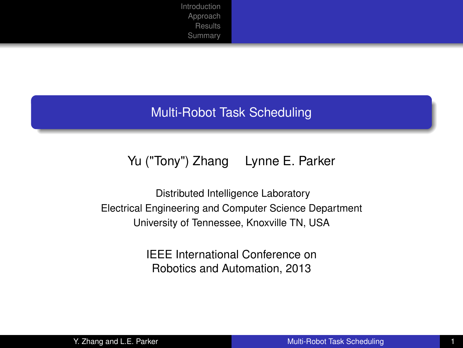### Multi-Robot Task Scheduling

### Yu ("Tony") Zhang Lynne E. Parker

Distributed Intelligence Laboratory Electrical Engineering and Computer Science Department University of Tennessee, Knoxville TN, USA

> <span id="page-0-0"></span>IEEE International Conference on Robotics and Automation, 2013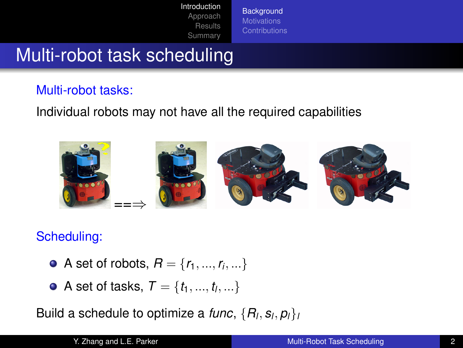**[Background](#page-1-0)** 

# Multi-robot task scheduling

### Multi-robot tasks:

Individual robots may not have all the required capabilities



Scheduling:

- A set of robots,  $R = \{r_1, ..., r_i, ...\}$
- <span id="page-1-0"></span>A set of tasks,  $\mathcal{T} = \{t_1, ..., t_l, ...\}$

Build a schedule to optimize a *func*, {*R<sup>l</sup>* , *s<sup>l</sup>* , *pl*}*<sup>l</sup>*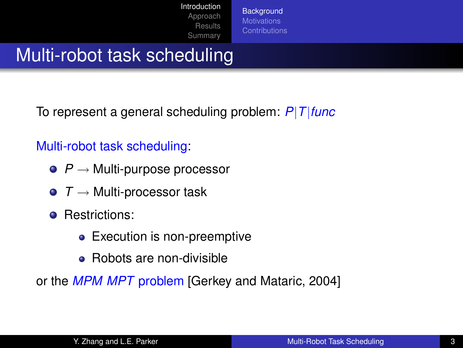**[Background](#page-1-0)** 

# Multi-robot task scheduling

To represent a general scheduling problem: *P*|*T*|*func*

### Multi-robot task scheduling:

- *• P* → Multi-purpose processor
- $\bullet$  *T*  $\rightarrow$  Multi-processor task
- **•** Restrictions:
	- Execution is non-preemptive
	- Robots are non-divisible

or the *MPM MPT* problem [\[Gerkey and Mataric, 2004\]](#page-27-1)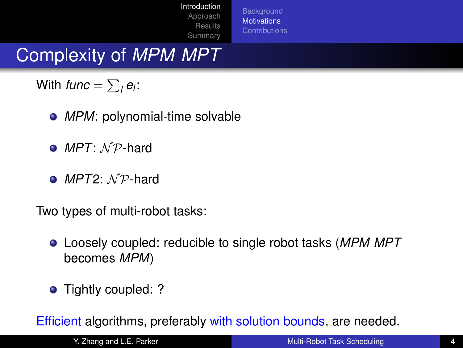**[Background](#page-1-0) [Motivations](#page-3-0)** 

# Complexity of *MPM MPT*

With  $func = \sum_l e_l$ :

- MPM: polynomial-time solvable
- **•** *MPT*: *NP*-hard
- $\bullet$  *MPT2:*  $\land \mathcal{P}$ -hard

Two types of multi-robot tasks:

- Loosely coupled: reducible to single robot tasks (*MPM MPT* becomes *MPM*)
- <span id="page-3-0"></span>• Tightly coupled: ?

Efficient algorithms, preferably with solution bounds, are needed.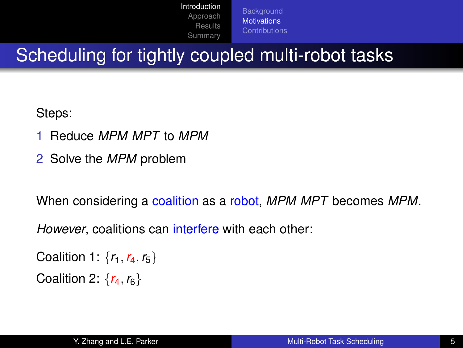**[Background](#page-1-0) [Motivations](#page-3-0)** 

Scheduling for tightly coupled multi-robot tasks

Steps:

- 1 Reduce *MPM MPT* to *MPM*
- 2 Solve the *MPM* problem

When considering a coalition as a robot, *MPM MPT* becomes *MPM*.

*However*, coalitions can interfere with each other:

Coalition 1:  $\{r_1, r_4, r_5\}$ Coalition 2:  ${r_4, r_6}$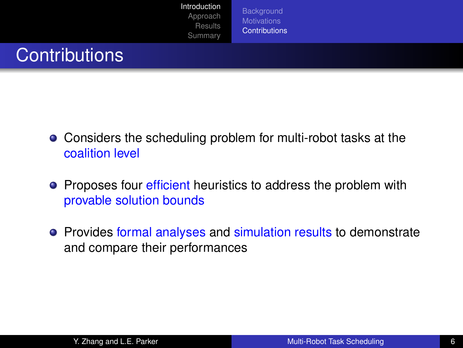<span id="page-5-0"></span>**[Background](#page-1-0) [Contributions](#page-5-0)** 

# **Contributions**

- Considers the scheduling problem for multi-robot tasks at the coalition level
- **•** Proposes four efficient heuristics to address the problem with provable solution bounds
- **•** Provides formal analyses and simulation results to demonstrate and compare their performances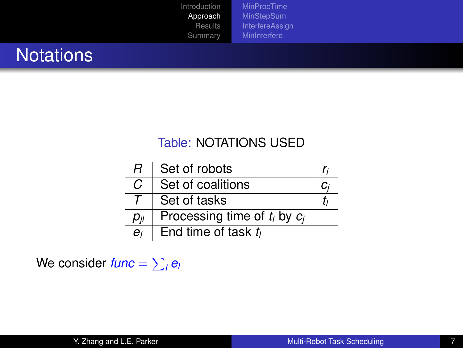[MinProcTime](#page-7-0) **[MinStepSum](#page-8-0) [InterfereAssign](#page-9-0) [MinInterfere](#page-14-0)** 

# **Notations**

### <span id="page-6-0"></span>Table: NOTATIONS USED

| R               | Set of robots                     |               |
|-----------------|-----------------------------------|---------------|
| C               | Set of coalitions                 | $\mathcal{C}$ |
|                 | Set of tasks                      |               |
| р <sub>il</sub> | Processing time of $t_i$ by $c_i$ |               |
| $e_{l}$         | End time of task $t_i$            |               |

 $W$ e consider *func* =  $\sum_{l}e_{l}$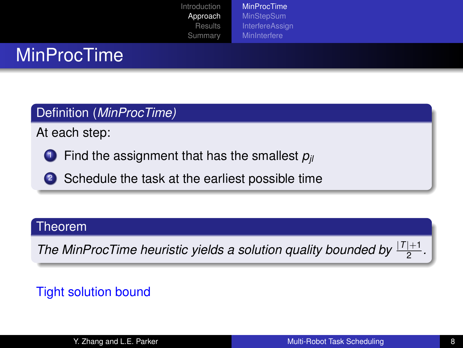<span id="page-7-0"></span>[MinProcTime](#page-7-0) **[MinStepSum](#page-8-0) [InterfereAssign](#page-9-0) [MinInterfere](#page-14-0)** 

# **MinProcTime**

### Definition (*MinProcTime)*

At each step:

- **1** Find the assignment that has the smallest  $p_{ij}$
- 2 Schedule the task at the earliest possible time

#### Theorem

The MinProcTime heuristic yields a solution quality bounded by  $\frac{|T|+1}{2}$ .

### Tight solution bound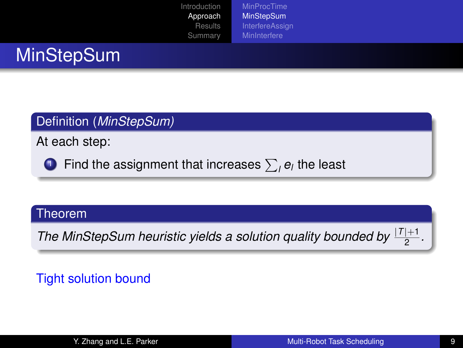<span id="page-8-0"></span>[MinProcTime](#page-7-0) **[MinStepSum](#page-8-0)** [InterfereAssign](#page-9-0) **[MinInterfere](#page-14-0)** 

# **MinStepSum**

### Definition (*MinStepSum)*

At each step:

**D** Find the assignment that increases  $\sum_{l} e_{l}$  the least

#### Theorem

The MinStepSum heuristic yields a solution quality bounded by  $\frac{|T|+1}{2}$ .

### Tight solution bound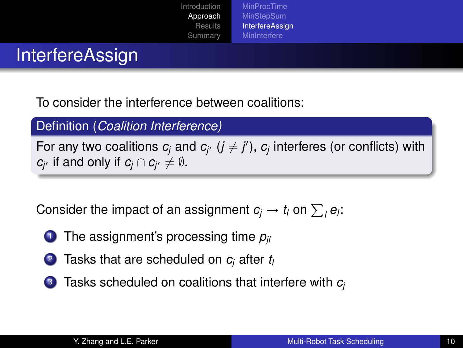[Introduction](#page-1-0) [Approach](#page-6-0) **[Results](#page-16-0)** [Summary](#page-25-0) [MinProcTime](#page-7-0)

**[MinStepSum](#page-8-0) [InterfereAssign](#page-9-0) [MinInterfere](#page-14-0)** 

# InterfereAssign

To consider the interference between coalitions:

Definition (*Coalition Interference)*

For any two coalitions  $c_j$  and  $c_{j'}$   $(j \neq j')$ ,  $c_j$  interferes (or conflicts) with *c*<sub>*j*</sub> if and only if *c<sub>j</sub>* ∩ *c<sub>j</sub>* ≠ ∅.

Consider the impact of an assignment  $c_j \rightarrow t_l$  on  $\sum_l e_l$ :

- <sup>1</sup> The assignment's processing time *pjl*
- <sup>2</sup> Tasks that are scheduled on *c<sup>j</sup>* after *t<sup>l</sup>*
- <span id="page-9-0"></span><sup>3</sup> Tasks scheduled on coalitions that interfere with *c<sup>j</sup>*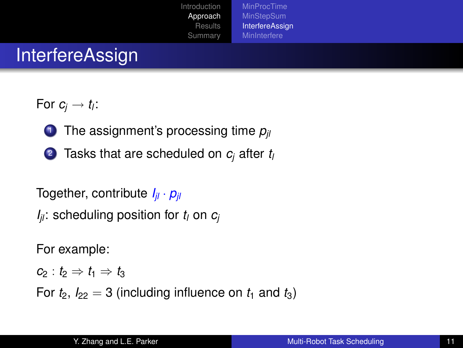#### [MinProcTime](#page-7-0) **[MinStepSum](#page-8-0)** [InterfereAssign](#page-9-0) **[MinInterfere](#page-14-0)**

# InterfereAssign

For  $c_j \rightarrow t$ *l*:

- **1** The assignment's processing time  $p_{ij}$
- <sup>2</sup> Tasks that are scheduled on *c<sup>j</sup>* after *t<sup>l</sup>*

Together, contribute *Ijl* · *pjl*

 $I_{ij}$ : scheduling position for  $t_i$  on  $c_i$ 

For example:

 $c_2 : t_2 \Rightarrow t_1 \Rightarrow t_3$ 

For  $t_2$ ,  $t_{22} = 3$  (including influence on  $t_1$  and  $t_3$ )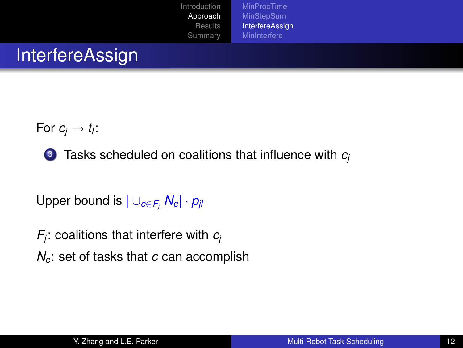[MinProcTime](#page-7-0) **[MinStepSum](#page-8-0)** [InterfereAssign](#page-9-0) **[MinInterfere](#page-14-0)** 

# **InterfereAssign**

For  $c_j \rightarrow t$ *l*:

<sup>3</sup> Tasks scheduled on coalitions that influence with *c<sup>j</sup>*

Upper bound is  $| \cup_{c \in F_i} N_c | \cdot p_{ij}$ 

- *Fj* : coalitions that interfere with *c<sup>j</sup>*
- *Nc*: set of tasks that *c* can accomplish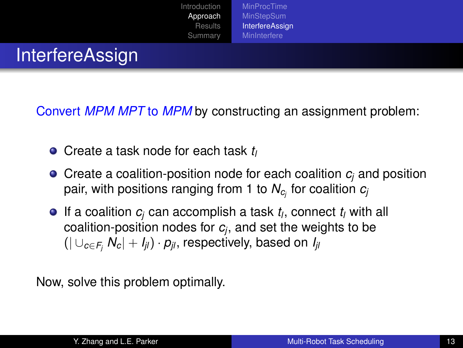[Introduction](#page-1-0) [Approach](#page-6-0) **[Results](#page-16-0)** [Summary](#page-25-0) **[MinProcTime](#page-7-0) [MinStepSum](#page-8-0) [InterfereAssign](#page-9-0) [MinInterfere](#page-14-0)** 

Convert *MPM MPT* to *MPM* by constructing an assignment problem:

- Create a task node for each task *t<sup>l</sup>*
- Create a coalition-position node for each coalition *c<sup>j</sup>* and position pair, with positions ranging from 1 to *N<sup>c</sup><sup>j</sup>* for coalition *c<sup>j</sup>*
- If a coalition *c<sup>j</sup>* can accomplish a task *t<sup>l</sup>* , connect *t<sup>l</sup>* with all coalition-position nodes for *c<sup>j</sup>* , and set the weights to be  $(| \cup_{c \in F_i} N_c | + I_{ii}) \cdot p_{ii}$ , respectively, based on  $I_{ii}$

Now, solve this problem optimally.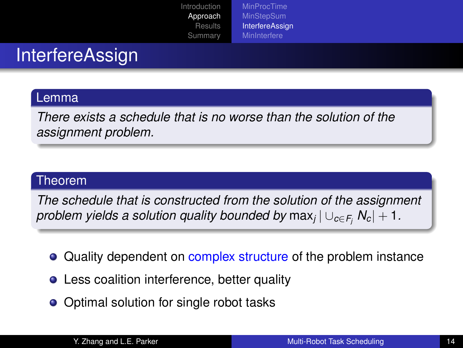#### **[MinProcTime](#page-7-0) [MinStepSum](#page-8-0) [InterfereAssign](#page-9-0) [MinInterfere](#page-14-0)**

# InterfereAssign

#### Lemma

*There exists a schedule that is no worse than the solution of the assignment problem.*

#### Theorem

*The schedule that is constructed from the solution of the assignment problem yields a solution quality bounded by* max*<sup>j</sup>* | ∪*c*∈*F<sup>j</sup> Nc*| + 1*.*

- Quality dependent on complex structure of the problem instance
- Less coalition interference, better quality
- Optimal solution for single robot tasks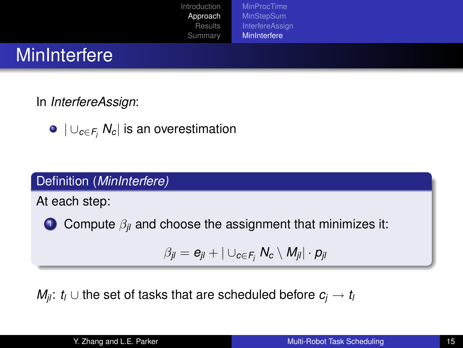[Introduction](#page-1-0) [Approach](#page-6-0) [Results](#page-16-0) [Summary](#page-25-0) [MinProcTime](#page-7-0) **[MinStepSum](#page-8-0)** [InterfereAssign](#page-9-0) **[MinInterfere](#page-14-0)** 

### **MinInterfere**

In *InterfereAssign*:

• 
$$
|\cup_{c \in F_j} N_c|
$$
 is an overestimation

### Definition (*MinInterfere)*

At each step:

$$
\bullet
$$

Compute  $\beta_{ij}$  and choose the assignment that minimizes it:

<span id="page-14-0"></span>
$$
\beta_{jl} = e_{jl} + |\cup_{c \in F_j} N_c \setminus M_{jl}| \cdot p_{jl}
$$

*M*<sub>*j*</sub>: *t*<sub>*l*</sub> ∪ the set of tasks that are scheduled before  $c_i$  → *t*<sub>*l*</sub>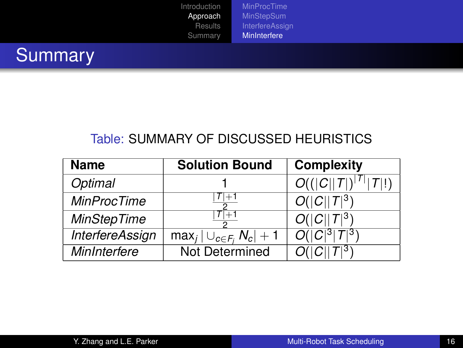[MinProcTime](#page-7-0) **[MinStepSum](#page-8-0)** [InterfereAssign](#page-9-0) **[MinInterfere](#page-14-0)** 



### Table: SUMMARY OF DISCUSSED HEURISTICS

| <b>Name</b>            | <b>Solution Bound</b>               | <b>Complexity</b> |
|------------------------|-------------------------------------|-------------------|
| Optimal                |                                     | O(( C  T ))       |
| <b>MinProcTime</b>     |                                     | $O( C  T ^3)$     |
| <b>MinStepTime</b>     |                                     | $O( C  T ^3)$     |
| <b>InterfereAssign</b> | $\max_j  \cup_{c \in F_i} N_c  + 1$ | $O( C ^3 T ^3)$   |
| MinInterfere           | <b>Not Determined</b>               |                   |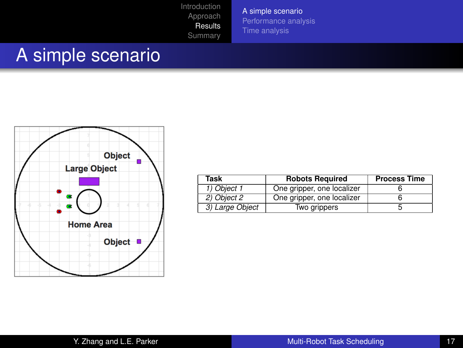[A simple scenario](#page-16-0) [Performance analysis](#page-18-0) [Time analysis](#page-24-0)

### A simple scenario



<span id="page-16-0"></span>

| Task            | <b>Robots Required</b>     | <b>Process Time</b> |
|-----------------|----------------------------|---------------------|
| 1) Object 1     | One gripper, one localizer |                     |
| 2) Obiect 2     | One gripper, one localizer |                     |
| 3) Large Object | Two grippers               |                     |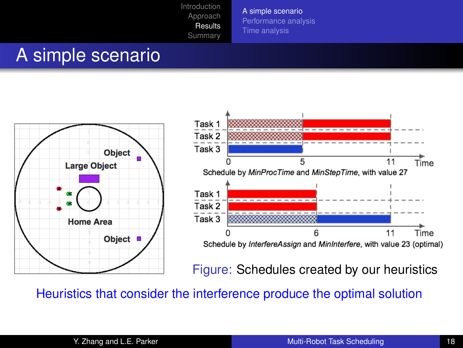[A simple scenario](#page-16-0) [Performance analysis](#page-18-0) [Time analysis](#page-24-0)

### A simple scenario





Figure: Schedules created by our heuristics

Heuristics that consider the interference produce the optimal solution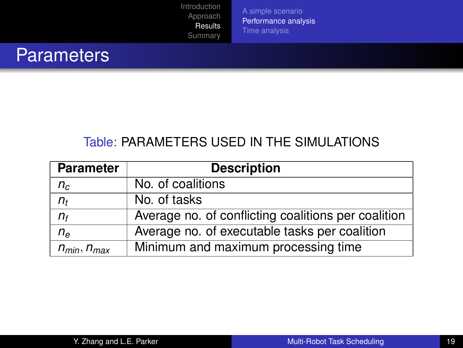<span id="page-18-0"></span>[A simple scenario](#page-16-0) [Performance analysis](#page-18-0) [Time analysis](#page-24-0)

### **Parameters**

### Table: PARAMETERS USED IN THE SIMULATIONS

| <b>Parameter</b>   | <b>Description</b>                                  |
|--------------------|-----------------------------------------------------|
| $n_c$              | No. of coalitions                                   |
| $n_{t}$            | No. of tasks                                        |
| $n_{f}$            | Average no. of conflicting coalitions per coalition |
| $n_e$              | Average no. of executable tasks per coalition       |
| $n_{min}, n_{max}$ | Minimum and maximum processing time                 |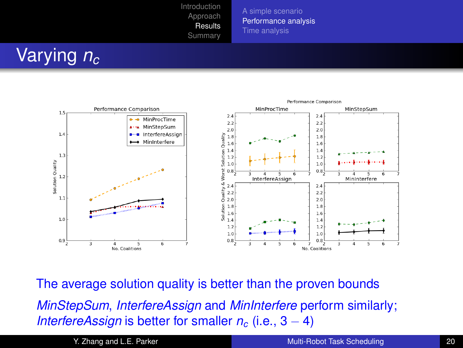[A simple scenario](#page-16-0) [Performance analysis](#page-18-0) [Time analysis](#page-24-0)

# Varying *n<sup>c</sup>*



The average solution quality is better than the proven bounds *MinStepSum*, *InterfereAssign* and *MinInterfere* perform similarly; *InterfereAssign* is better for smaller  $n_c$  (i.e., 3 – 4)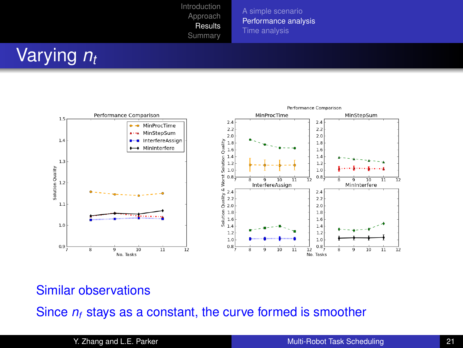[A simple scenario](#page-16-0) [Performance analysis](#page-18-0) [Time analysis](#page-24-0)

# Varying *n<sup>t</sup>*



### Similar observations

Since  $n_f$  stays as a constant, the curve formed is smoother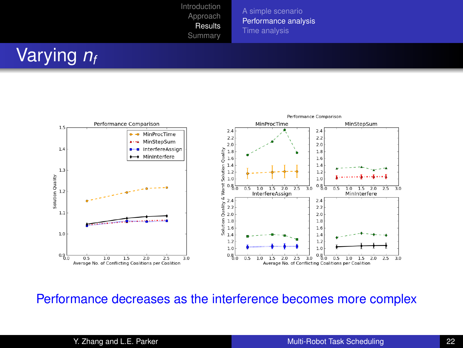[A simple scenario](#page-16-0) [Performance analysis](#page-18-0) [Time analysis](#page-24-0)

# Varying *n<sup>f</sup>*



#### Performance decreases as the interference becomes more complex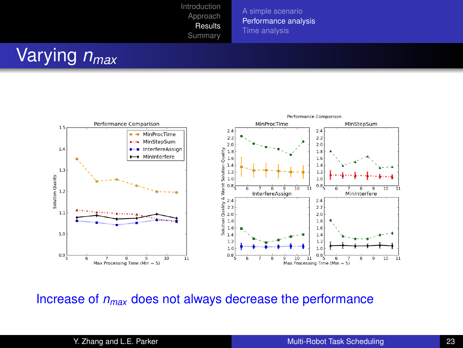[A simple scenario](#page-16-0) [Performance analysis](#page-18-0) [Time analysis](#page-24-0)

# Varying *nmax*



#### Increase of *nmax* does not always decrease the performance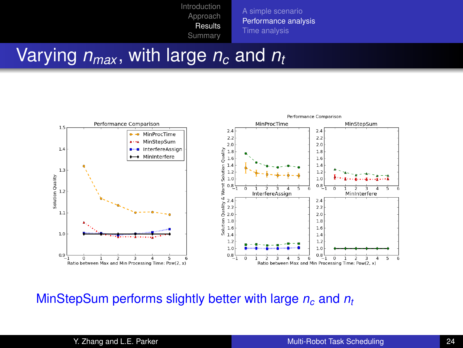[A simple scenario](#page-16-0) [Performance analysis](#page-18-0) [Time analysis](#page-24-0)

# Varying  $n_{max}$ , with large  $n_c$  and  $n_t$



#### MinStepSum performs slightly better with large *n<sup>c</sup>* and *n<sup>t</sup>*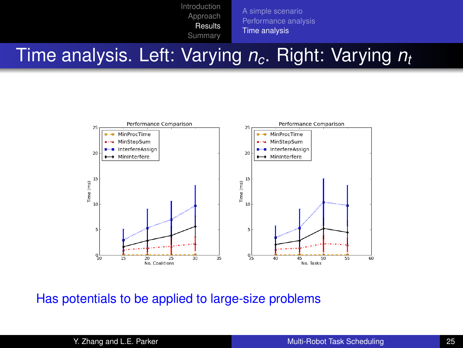<span id="page-24-0"></span>[A simple scenario](#page-16-0) [Performance analysis](#page-18-0) [Time analysis](#page-24-0)

Time analysis. Left: Varying *nc*. Right: Varying *n<sup>t</sup>*



Has potentials to be applied to large-size problems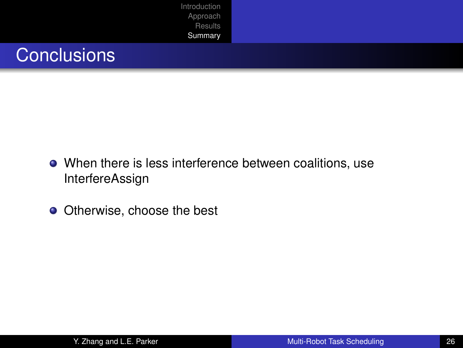### **Conclusions**

- When there is less interference between coalitions, use InterfereAssign
- <span id="page-25-0"></span>**O** Otherwise, choose the best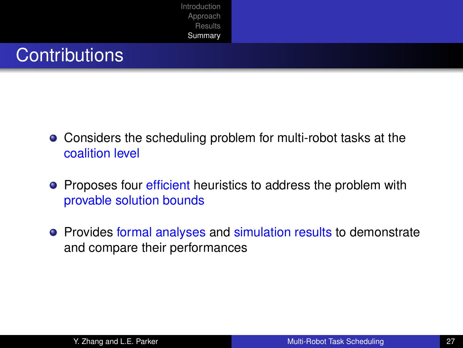### **Contributions**

- Considers the scheduling problem for multi-robot tasks at the coalition level
- **•** Proposes four efficient heuristics to address the problem with provable solution bounds
- **•** Provides formal analyses and simulation results to demonstrate and compare their performances